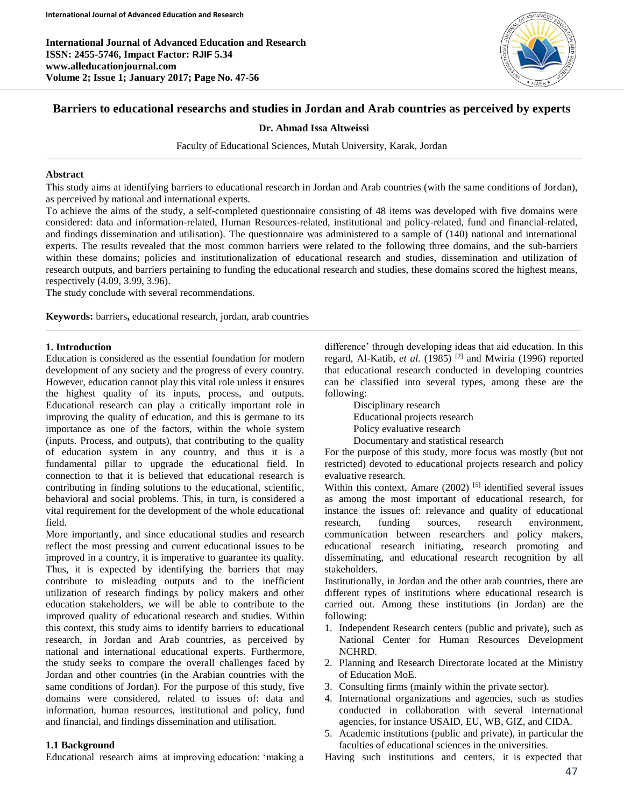**International Journal of Advanced Education and Research ISSN: 2455-5746, Impact Factor: RJIF 5.34 www.alleducationjournal.com Volume 2; Issue 1; January 2017; Page No. 47-56**



# **Barriers to educational researchs and studies in Jordan and Arab countries as perceived by experts**

## **Dr. Ahmad Issa Altweissi**

Faculty of Educational Sciences, Mutah University, Karak, Jordan

#### **Abstract**

This study aims at identifying barriers to educational research in Jordan and Arab countries (with the same conditions of Jordan), as perceived by national and international experts.

To achieve the aims of the study, a self-completed questionnaire consisting of 48 items was developed with five domains were considered: data and information-related, Human Resources-related, institutional and policy-related, fund and financial-related, and findings dissemination and utilisation). The questionnaire was administered to a sample of (140) national and international experts. The results revealed that the most common barriers were related to the following three domains, and the sub-barriers within these domains; policies and institutionalization of educational research and studies, dissemination and utilization of research outputs, and barriers pertaining to funding the educational research and studies, these domains scored the highest means, respectively (4.09, 3.99, 3.96).

The study conclude with several recommendations.

**Keywords:** barriers**,** educational research, jordan, arab countries

#### **1. Introduction**

Education is considered as the essential foundation for modern development of any society and the progress of every country. However, education cannot play this vital role unless it ensures the highest quality of its inputs, process, and outputs. Educational research can play a critically important role in improving the quality of education, and this is germane to its importance as one of the factors, within the whole system (inputs. Process, and outputs), that contributing to the quality of education system in any country, and thus it is a fundamental pillar to upgrade the educational field. In connection to that it is believed that educational research is contributing in finding solutions to the educational, scientific, behavioral and social problems. This, in turn, is considered a vital requirement for the development of the whole educational field.

More importantly, and since educational studies and research reflect the most pressing and current educational issues to be improved in a country, it is imperative to guarantee its quality. Thus, it is expected by identifying the barriers that may contribute to misleading outputs and to the inefficient utilization of research findings by policy makers and other education stakeholders, we will be able to contribute to the improved quality of educational research and studies. Within this context, this study aims to identify barriers to educational research, in Jordan and Arab countries, as perceived by national and international educational experts. Furthermore, the study seeks to compare the overall challenges faced by Jordan and other countries (in the Arabian countries with the same conditions of Jordan). For the purpose of this study, five domains were considered, related to issues of: data and information, human resources, institutional and policy, fund and financial, and findings dissemination and utilisation.

#### **1.1 Background**

Educational research aims at improving education: 'making a

difference' through developing ideas that aid education. In this regard, Al-Katib, et al. (1985)<sup>[2]</sup> and Mwiria (1996) reported that educational research conducted in developing countries can be classified into several types, among these are the following:

Disciplinary research Educational projects research Policy evaluative research Documentary and statistical research

For the purpose of this study, more focus was mostly (but not restricted) devoted to educational projects research and policy evaluative research.

Within this context, Amare  $(2002)$  [5] identified several issues as among the most important of educational research, for instance the issues of: relevance and quality of educational research, funding sources, research environment, communication between researchers and policy makers, educational research initiating, research promoting and disseminating, and educational research recognition by all stakeholders.

Institutionally, in Jordan and the other arab countries, there are different types of institutions where educational research is carried out. Among these institutions (in Jordan) are the following:

- 1. Independent Research centers (public and private), such as National Center for Human Resources Development NCHRD.
- 2. Planning and Research Directorate located at the Ministry of Education MoE.
- 3. Consulting firms (mainly within the private sector).
- 4. International organizations and agencies, such as studies conducted in collaboration with several international agencies, for instance USAID, EU, WB, GIZ, and CIDA.
- 5. Academic institutions (public and private), in particular the faculties of educational sciences in the universities.

Having such institutions and centers, it is expected that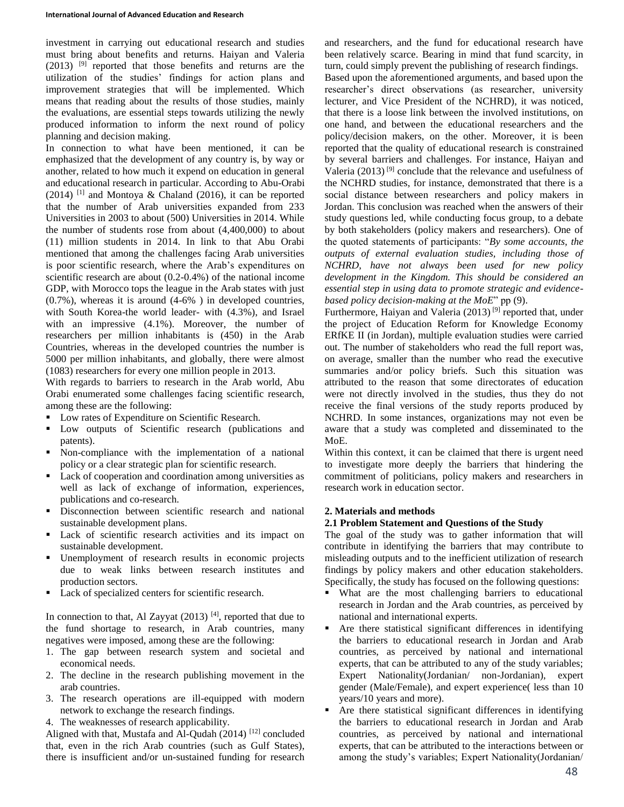investment in carrying out educational research and studies must bring about benefits and returns. Haiyan and Valeria (2013) [9] reported that those benefits and returns are the utilization of the studies' findings for action plans and improvement strategies that will be implemented. Which means that reading about the results of those studies, mainly the evaluations, are essential steps towards utilizing the newly produced information to inform the next round of policy planning and decision making.

In connection to what have been mentioned, it can be emphasized that the development of any country is, by way or another, related to how much it expend on education in general and educational research in particular. According to Abu-Orabi  $(2014)$ <sup>[1]</sup> and Montoya & Chaland (2016), it can be reported that the number of Arab universities expanded from 233 Universities in 2003 to about (500) Universities in 2014. While the number of students rose from about (4,400,000) to about (11) million students in 2014. In link to that Abu Orabi mentioned that among the challenges facing Arab universities is poor scientific research, where the Arab's expenditures on scientific research are about (0.2-0.4%) of the national income GDP, with Morocco tops the league in the Arab states with just (0.7%), whereas it is around (4-6% ) in developed countries, with South Korea-the world leader- with (4.3%), and Israel with an impressive (4.1%). Moreover, the number of researchers per million inhabitants is (450) in the Arab Countries, whereas in the developed countries the number is 5000 per million inhabitants, and globally, there were almost (1083) researchers for every one million people in 2013.

With regards to barriers to research in the Arab world, Abu Orabi enumerated some challenges facing scientific research, among these are the following:

- Low rates of Expenditure on Scientific Research.
- Low outputs of Scientific research (publications and patents).
- Non-compliance with the implementation of a national policy or a clear strategic plan for scientific research.
- Lack of cooperation and coordination among universities as well as lack of exchange of information, experiences, publications and co-research.
- **Disconnection between scientific research and national** sustainable development plans.
- Lack of scientific research activities and its impact on sustainable development.
- Unemployment of research results in economic projects due to weak links between research institutes and production sectors.
- **Lack of specialized centers for scientific research.**

In connection to that, Al Zayyat  $(2013)$ <sup>[4]</sup>, reported that due to the fund shortage to research, in Arab countries, many negatives were imposed, among these are the following:

- 1. The gap between research system and societal and economical needs.
- 2. The decline in the research publishing movement in the arab countries.
- 3. The research operations are ill-equipped with modern network to exchange the research findings.

4. The weaknesses of research applicability.

Aligned with that, Mustafa and Al-Qudah  $(2014)$ <sup>[12]</sup> concluded that, even in the rich Arab countries (such as Gulf States), there is insufficient and/or un-sustained funding for research and researchers, and the fund for educational research have been relatively scarce. Bearing in mind that fund scarcity, in turn, could simply prevent the publishing of research findings. Based upon the aforementioned arguments, and based upon the researcher's direct observations (as researcher, university lecturer, and Vice President of the NCHRD), it was noticed, that there is a loose link between the involved institutions, on one hand, and between the educational researchers and the policy/decision makers, on the other. Moreover, it is been reported that the quality of educational research is constrained by several barriers and challenges. For instance, Haiyan and Valeria (2013)<sup>[9]</sup> conclude that the relevance and usefulness of the NCHRD studies, for instance, demonstrated that there is a social distance between researchers and policy makers in Jordan. This conclusion was reached when the answers of their study questions led, while conducting focus group, to a debate by both stakeholders (policy makers and researchers). One of the quoted statements of participants: "*By some accounts, the outputs of external evaluation studies, including those of NCHRD, have not always been used for new policy development in the Kingdom. This should be considered an essential step in using data to promote strategic and evidencebased policy decision-making at the MoE*" pp (9).

Furthermore, Haiyan and Valeria  $(2013)^{9}$  reported that, under the project of Education Reform for Knowledge Economy ERfKE II (in Jordan), multiple evaluation studies were carried out. The number of stakeholders who read the full report was, on average, smaller than the number who read the executive summaries and/or policy briefs. Such this situation was attributed to the reason that some directorates of education were not directly involved in the studies, thus they do not receive the final versions of the study reports produced by NCHRD. In some instances, organizations may not even be aware that a study was completed and disseminated to the MoE.

Within this context, it can be claimed that there is urgent need to investigate more deeply the barriers that hindering the commitment of politicians, policy makers and researchers in research work in education sector.

# **2. Materials and methods**

# **2.1 Problem Statement and Questions of the Study**

The goal of the study was to gather information that will contribute in identifying the barriers that may contribute to misleading outputs and to the inefficient utilization of research findings by policy makers and other education stakeholders. Specifically, the study has focused on the following questions:

- What are the most challenging barriers to educational research in Jordan and the Arab countries, as perceived by national and international experts.
- Are there statistical significant differences in identifying the barriers to educational research in Jordan and Arab countries, as perceived by national and international experts, that can be attributed to any of the study variables; Expert Nationality(Jordanian/ non-Jordanian), expert gender (Male/Female), and expert experience( less than 10 years/10 years and more).
- Are there statistical significant differences in identifying the barriers to educational research in Jordan and Arab countries, as perceived by national and international experts, that can be attributed to the interactions between or among the study's variables; Expert Nationality(Jordanian/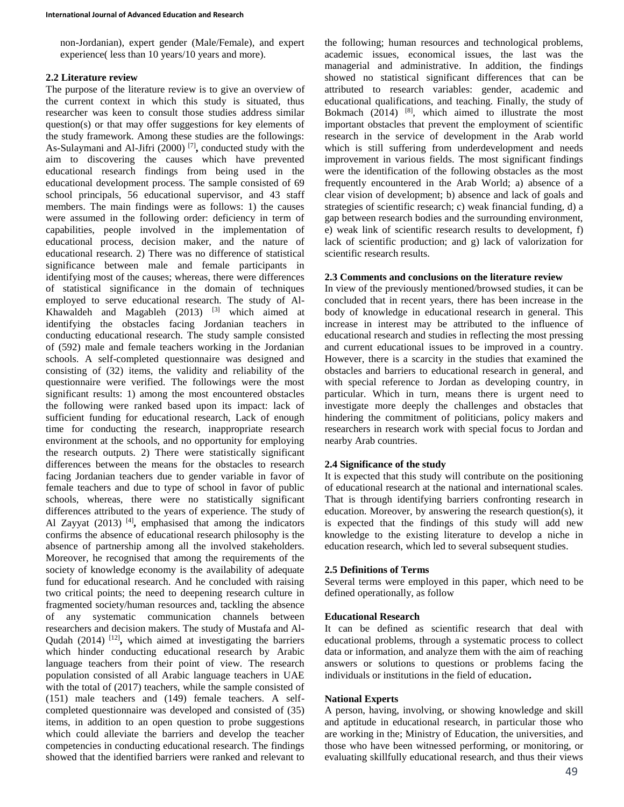non-Jordanian), expert gender (Male/Female), and expert experience( less than 10 years/10 years and more).

# **2.2 Literature review**

The purpose of the literature review is to give an overview of the current context in which this study is situated, thus researcher was keen to consult those studies address similar question(s) or that may offer suggestions for key elements of the study framework. Among these studies are the followings: As-Sulaymani and Al-Jifri (2000) [7] **,** conducted study with the aim to discovering the causes which have prevented educational research findings from being used in the educational development process. The sample consisted of 69 school principals, 56 educational supervisor, and 43 staff members. The main findings were as follows: 1) the causes were assumed in the following order: deficiency in term of capabilities, people involved in the implementation of educational process, decision maker, and the nature of educational research. 2) There was no difference of statistical significance between male and female participants in identifying most of the causes; whereas, there were differences of statistical significance in the domain of techniques employed to serve educational research. The study of Al-Khawaldeh and Magableh  $(2013)$  <sup>[3]</sup> which aimed at identifying the obstacles facing Jordanian teachers in conducting educational research. The study sample consisted of (592) male and female teachers working in the Jordanian schools. A self-completed questionnaire was designed and consisting of (32) items, the validity and reliability of the questionnaire were verified. The followings were the most significant results: 1) among the most encountered obstacles the following were ranked based upon its impact: lack of sufficient funding for educational research, Lack of enough time for conducting the research, inappropriate research environment at the schools, and no opportunity for employing the research outputs. 2) There were statistically significant differences between the means for the obstacles to research facing Jordanian teachers due to gender variable in favor of female teachers and due to type of school in favor of public schools, whereas, there were no statistically significant differences attributed to the years of experience. The study of Al Zayyat (2013)<sup>[4]</sup>, emphasised that among the indicators confirms the absence of educational research philosophy is the absence of partnership among all the involved stakeholders. Moreover, he recognised that among the requirements of the society of knowledge economy is the availability of adequate fund for educational research. And he concluded with raising two critical points; the need to deepening research culture in fragmented society/human resources and, tackling the absence of any systematic communication channels between researchers and decision makers. The study of Mustafa and Al-Qudah (2014)<sup>[12]</sup>, which aimed at investigating the barriers which hinder conducting educational research by Arabic language teachers from their point of view. The research population consisted of all Arabic language teachers in UAE with the total of (2017) teachers, while the sample consisted of (151) male teachers and (149) female teachers. A selfcompleted questionnaire was developed and consisted of (35) items, in addition to an open question to probe suggestions which could alleviate the barriers and develop the teacher competencies in conducting educational research. The findings showed that the identified barriers were ranked and relevant to

the following; human resources and technological problems, academic issues, economical issues, the last was the managerial and administrative. In addition, the findings showed no statistical significant differences that can be attributed to research variables: gender, academic and educational qualifications, and teaching. Finally, the study of Bokmach (2014) <sup>[8]</sup>, which aimed to illustrate the most important obstacles that prevent the employment of scientific research in the service of development in the Arab world which is still suffering from underdevelopment and needs improvement in various fields. The most significant findings were the identification of the following obstacles as the most frequently encountered in the Arab World; a) absence of a clear vision of development; b) absence and lack of goals and strategies of scientific research; c) weak financial funding, d) a gap between research bodies and the surrounding environment, e) weak link of scientific research results to development, f) lack of scientific production; and g) lack of valorization for scientific research results.

## **2.3 Comments and conclusions on the literature review**

In view of the previously mentioned/browsed studies, it can be concluded that in recent years, there has been increase in the body of knowledge in educational research in general. This increase in interest may be attributed to the influence of educational research and studies in reflecting the most pressing and current educational issues to be improved in a country. However, there is a scarcity in the studies that examined the obstacles and barriers to educational research in general, and with special reference to Jordan as developing country, in particular. Which in turn, means there is urgent need to investigate more deeply the challenges and obstacles that hindering the commitment of politicians, policy makers and researchers in research work with special focus to Jordan and nearby Arab countries.

## **2.4 Significance of the study**

It is expected that this study will contribute on the positioning of educational research at the national and international scales. That is through identifying barriers confronting research in education. Moreover, by answering the research question(s), it is expected that the findings of this study will add new knowledge to the existing literature to develop a niche in education research, which led to several subsequent studies.

## **2.5 Definitions of Terms**

Several terms were employed in this paper, which need to be defined operationally, as follow

## **Educational Research**

It can be defined as scientific research that deal with educational problems, through a systematic process to collect data or information, and analyze them with the aim of reaching answers or solutions to questions or problems facing the individuals or institutions in the field of education**.**

## **National Experts**

A person, having, involving, or showing knowledge and skill and aptitude in educational research, in particular those who are working in the; Ministry of Education, the universities, and those who have been witnessed performing, or monitoring, or evaluating skillfully educational research, and thus their views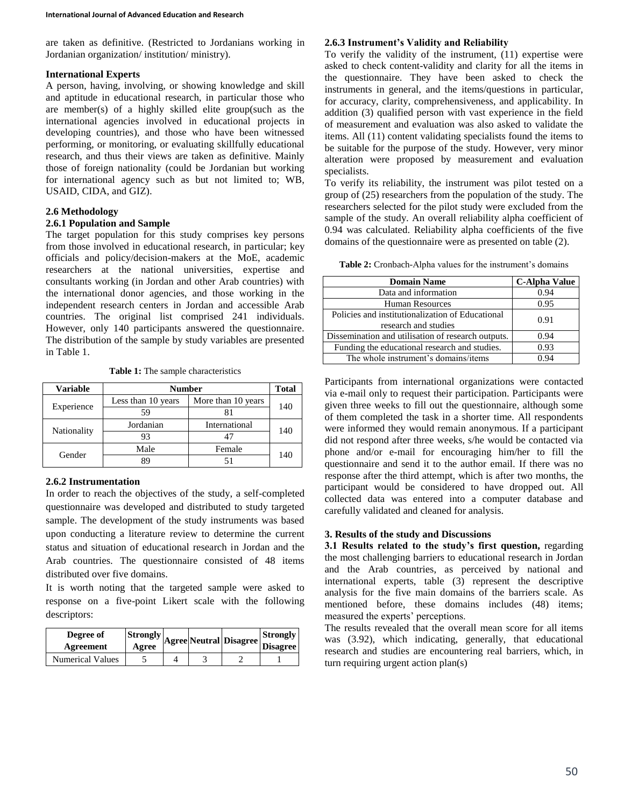are taken as definitive. (Restricted to Jordanians working in Jordanian organization/ institution/ ministry).

## **International Experts**

A person, having, involving, or showing knowledge and skill and aptitude in educational research, in particular those who are member(s) of a highly skilled elite group(such as the international agencies involved in educational projects in developing countries), and those who have been witnessed performing, or monitoring, or evaluating skillfully educational research, and thus their views are taken as definitive. Mainly those of foreign nationality (could be Jordanian but working for international agency such as but not limited to; WB, USAID, CIDA, and GIZ).

# **2.6 Methodology**

# **2.6.1 Population and Sample**

The target population for this study comprises key persons from those involved in educational research, in particular; key officials and policy/decision-makers at the MoE, academic researchers at the national universities, expertise and consultants working (in Jordan and other Arab countries) with the international donor agencies, and those working in the independent research centers in Jordan and accessible Arab countries. The original list comprised 241 individuals. However, only 140 participants answered the questionnaire. The distribution of the sample by study variables are presented in Table 1.

**Table 1:** The sample characteristics

| Variable    |                    | <b>Number</b>      |     |  |  |  |  |
|-------------|--------------------|--------------------|-----|--|--|--|--|
| Experience  | Less than 10 years | More than 10 years | 140 |  |  |  |  |
|             | 59                 |                    |     |  |  |  |  |
|             | Jordanian          | International      |     |  |  |  |  |
| Nationality | 93                 |                    | 140 |  |  |  |  |
| Gender      | Male               | Female             |     |  |  |  |  |
|             | QΟ                 |                    | 140 |  |  |  |  |

# **2.6.2 Instrumentation**

In order to reach the objectives of the study, a self-completed questionnaire was developed and distributed to study targeted sample. The development of the study instruments was based upon conducting a literature review to determine the current status and situation of educational research in Jordan and the Arab countries. The questionnaire consisted of 48 items distributed over five domains.

It is worth noting that the targeted sample were asked to response on a five-point Likert scale with the following descriptors:

| Degree of<br>Agreement  |  | Strongly  Agree   Neutral   Disagree   Disagree |  |
|-------------------------|--|-------------------------------------------------|--|
| <b>Numerical Values</b> |  |                                                 |  |

# **2.6.3 Instrument's Validity and Reliability**

To verify the validity of the instrument, (11) expertise were asked to check content-validity and clarity for all the items in the questionnaire. They have been asked to check the instruments in general, and the items/questions in particular, for accuracy, clarity, comprehensiveness, and applicability. In addition (3) qualified person with vast experience in the field of measurement and evaluation was also asked to validate the items. All (11) content validating specialists found the items to be suitable for the purpose of the study. However, very minor alteration were proposed by measurement and evaluation specialists.

To verify its reliability, the instrument was pilot tested on a group of (25) researchers from the population of the study. The researchers selected for the pilot study were excluded from the sample of the study. An overall reliability alpha coefficient of 0.94 was calculated. Reliability alpha coefficients of the five domains of the questionnaire were as presented on table (2).

**Table 2:** Cronbach-Alpha values for the instrument's domains

| <b>Domain Name</b>                                 | <b>C-Alpha Value</b> |  |  |
|----------------------------------------------------|----------------------|--|--|
| Data and information                               | 0.94                 |  |  |
| <b>Human Resources</b>                             | 0.95                 |  |  |
| Policies and institutionalization of Educational   | 0.91                 |  |  |
| research and studies                               |                      |  |  |
| Dissemination and utilisation of research outputs. | 0.94                 |  |  |
| Funding the educational research and studies.      | 0.93                 |  |  |
| The whole instrument's domains/items               | 0.94                 |  |  |

Participants from international organizations were contacted via e-mail only to request their participation. Participants were given three weeks to fill out the questionnaire, although some of them completed the task in a shorter time. All respondents were informed they would remain anonymous. If a participant did not respond after three weeks, s/he would be contacted via phone and/or e-mail for encouraging him/her to fill the questionnaire and send it to the author email. If there was no response after the third attempt, which is after two months, the participant would be considered to have dropped out. All collected data was entered into a computer database and carefully validated and cleaned for analysis.

# **3. Results of the study and Discussions**

**3.1 Results related to the study's first question,** regarding the most challenging barriers to educational research in Jordan and the Arab countries, as perceived by national and international experts, table (3) represent the descriptive analysis for the five main domains of the barriers scale. As mentioned before, these domains includes (48) items; measured the experts' perceptions.

The results revealed that the overall mean score for all items was (3.92), which indicating, generally, that educational research and studies are encountering real barriers, which, in turn requiring urgent action plan(s)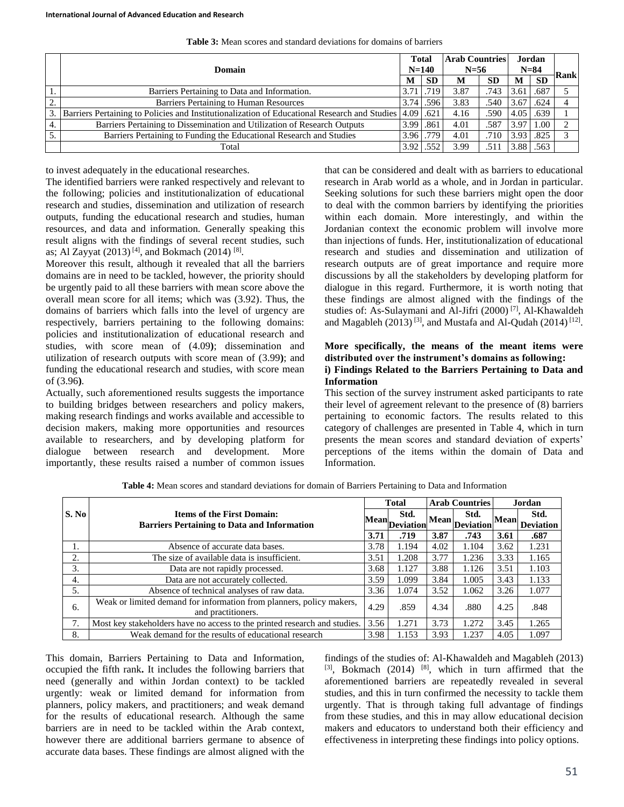|    |                                                                                                             | <b>Total</b>      |           | <b>Arab Countries</b> |           | Jordan   |           |      |
|----|-------------------------------------------------------------------------------------------------------------|-------------------|-----------|-----------------------|-----------|----------|-----------|------|
|    | Domain                                                                                                      |                   | $N = 140$ | $N=56$                |           | $N = 84$ |           | Rank |
|    |                                                                                                             | M                 | <b>SD</b> | M                     | <b>SD</b> | M        | <b>SD</b> |      |
|    | Barriers Pertaining to Data and Information.                                                                | 3.71              | .719      | 3.87                  | .743      | 3.61     | .687      |      |
| 2. | Barriers Pertaining to Human Resources<br>3.74                                                              |                   | .596      | 3.83                  | .540      | 3.67     | .624      |      |
|    | 3. Barriers Pertaining to Policies and Institutionalization of Educational Research and Studies 4.09 [.621] |                   |           | 4.16                  | .590      | 4.05     | .639      |      |
| 4. | Barriers Pertaining to Dissemination and Utilization of Research Outputs                                    | 3.99 .861         |           | 4.01                  | .587      | 3.97     | 1.00      |      |
| 5. | Barriers Pertaining to Funding the Educational Research and Studies                                         |                   | 3.96 .779 | 4.01                  | .710      | 3.93     | .825      |      |
|    | Total                                                                                                       | 3.92 <sub>1</sub> | .552      | 3.99                  | .51       | 3.88     | .563      |      |

**Table 3:** Mean scores and standard deviations for domains of barriers

to invest adequately in the educational researches.

The identified barriers were ranked respectively and relevant to the following; policies and institutionalization of educational research and studies, dissemination and utilization of research outputs, funding the educational research and studies, human resources, and data and information. Generally speaking this result aligns with the findings of several recent studies, such as; Al Zayyat  $(2013)$ <sup>[4]</sup>, and Bokmach  $(2014)$ <sup>[8]</sup>.

Moreover this result, although it revealed that all the barriers domains are in need to be tackled, however, the priority should be urgently paid to all these barriers with mean score above the overall mean score for all items; which was (3.92). Thus, the domains of barriers which falls into the level of urgency are respectively, barriers pertaining to the following domains: policies and institutionalization of educational research and studies, with score mean of (4.09**)**; dissemination and utilization of research outputs with score mean of (3.99**)**; and funding the educational research and studies, with score mean of (3.96**)**.

Actually, such aforementioned results suggests the importance to building bridges between researchers and policy makers, making research findings and works available and accessible to decision makers, making more opportunities and resources available to researchers, and by developing platform for dialogue between research and development. More importantly, these results raised a number of common issues that can be considered and dealt with as barriers to educational research in Arab world as a whole, and in Jordan in particular. Seeking solutions for such these barriers might open the door to deal with the common barriers by identifying the priorities within each domain. More interestingly, and within the Jordanian context the economic problem will involve more than injections of funds. Her, institutionalization of educational research and studies and dissemination and utilization of research outputs are of great importance and require more discussions by all the stakeholders by developing platform for dialogue in this regard. Furthermore, it is worth noting that these findings are almost aligned with the findings of the studies of: As-Sulaymani and Al-Jifri (2000) [7] , Al-Khawaldeh and Magableh  $(2013)$ <sup>[3]</sup>, and Mustafa and Al-Qudah  $(2014)$ <sup>[12]</sup>.

## **More specifically, the means of the meant items were distributed over the instrument's domains as following: i) Findings Related to the Barriers Pertaining to Data and Information**

This section of the survey instrument asked participants to rate their level of agreement relevant to the presence of (8) barriers pertaining to economic factors. The results related to this category of challenges are presented in Table 4, which in turn presents the mean scores and standard deviation of experts' perceptions of the items within the domain of Data and Information.

|       |                                                                                            |      | <b>Total</b>           |      | <b>Arab Countries</b>                 |             | Jordan                   |
|-------|--------------------------------------------------------------------------------------------|------|------------------------|------|---------------------------------------|-------------|--------------------------|
| S. No | <b>Items of the First Domain:</b><br><b>Barriers Pertaining to Data and Information</b>    |      | Std.<br>Mean Deviation |      | Std.<br>~~ Mean  <sub>Deviation</sub> | <b>Mean</b> | Std.<br><b>Deviation</b> |
|       |                                                                                            | 3.71 | .719                   | 3.87 | .743                                  | 3.61        | .687                     |
| 1.    | Absence of accurate data bases.                                                            | 3.78 | 1.194                  | 4.02 | 1.104                                 | 3.62        | 1.231                    |
| 2.    | The size of available data is insufficient.                                                | 3.51 | 1.208                  | 3.77 | 1.236                                 | 3.33        | 1.165                    |
| 3.    | Data are not rapidly processed.                                                            | 3.68 | 1.127                  | 3.88 | 1.126                                 | 3.51        | 1.103                    |
| 4.    | Data are not accurately collected.                                                         | 3.59 | 1.099                  | 3.84 | 1.005                                 | 3.43        | 1.133                    |
| 5.    | Absence of technical analyses of raw data.                                                 | 3.36 | 1.074                  | 3.52 | 1.062                                 | 3.26        | 1.077                    |
| 6.    | Weak or limited demand for information from planners, policy makers,<br>and practitioners. | 4.29 | .859                   | 4.34 | .880                                  | 4.25        | .848                     |
| 7.    | Most key stakeholders have no access to the printed research and studies.                  | 3.56 | 1.271                  | 3.73 | 1.272                                 | 3.45        | 1.265                    |
| 8.    | Weak demand for the results of educational research                                        | 3.98 | 1.153                  | 3.93 | 1.237                                 | 4.05        | 1.097                    |

**Table 4:** Mean scores and standard deviations for domain of Barriers Pertaining to Data and Information

This domain, Barriers Pertaining to Data and Information, occupied the fifth rank**.** It includes the following barriers that need (generally and within Jordan context) to be tackled urgently: weak or limited demand for information from planners, policy makers, and practitioners; and weak demand for the results of educational research. Although the same barriers are in need to be tackled within the Arab context, however there are additional barriers germane to absence of accurate data bases. These findings are almost aligned with the findings of the studies of: Al-Khawaldeh and Magableh (2013)  $[3]$ , Bokmach (2014)  $[8]$ , which in turn affirmed that the aforementioned barriers are repeatedly revealed in several studies, and this in turn confirmed the necessity to tackle them urgently. That is through taking full advantage of findings from these studies, and this in may allow educational decision makers and educators to understand both their efficiency and effectiveness in interpreting these findings into policy options.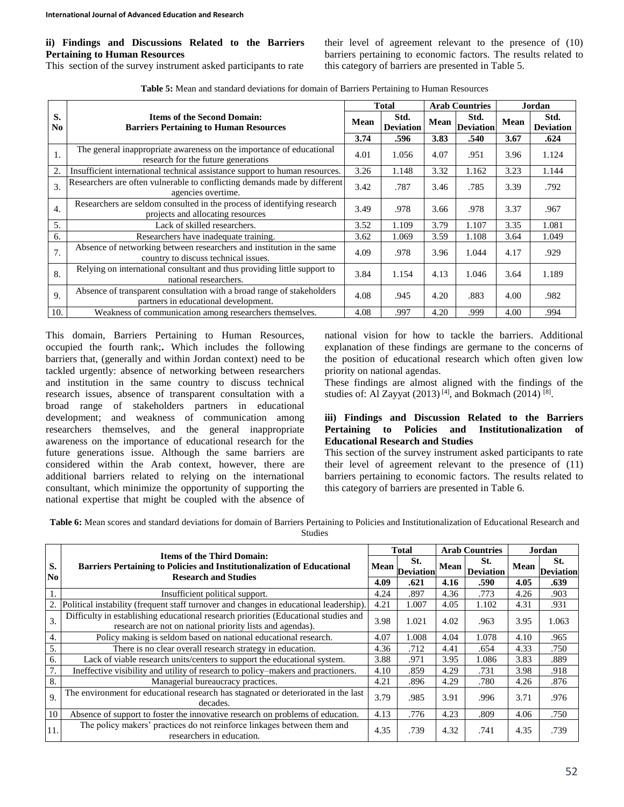# **ii) Findings and Discussions Related to the Barriers Pertaining to Human Resources**

This section of the survey instrument asked participants to rate

their level of agreement relevant to the presence of (10) barriers pertaining to economic factors. The results related to this category of barriers are presented in Table 5.

| Table 5: Mean and standard deviations for domain of Barriers Pertaining to Human Resources |  |  |  |  |  |  |  |
|--------------------------------------------------------------------------------------------|--|--|--|--|--|--|--|
|--------------------------------------------------------------------------------------------|--|--|--|--|--|--|--|

|                      |                                                                                                                |      | <b>Total</b>             |      | <b>Arab Countries</b>    | Jordan |                          |
|----------------------|----------------------------------------------------------------------------------------------------------------|------|--------------------------|------|--------------------------|--------|--------------------------|
| S.<br>N <sub>0</sub> | <b>Items of the Second Domain:</b><br>Mean<br><b>Barriers Pertaining to Human Resources</b>                    |      | Std.<br><b>Deviation</b> | Mean | Std.<br><b>Deviation</b> | Mean   | Std.<br><b>Deviation</b> |
|                      |                                                                                                                | 3.74 | .596                     | 3.83 | .540                     | 3.67   | .624                     |
| 1.                   | The general inappropriate awareness on the importance of educational<br>research for the future generations    | 4.01 | 1.056                    | 4.07 | .951                     | 3.96   | 1.124                    |
| 2.                   | Insufficient international technical assistance support to human resources.                                    | 3.26 | 1.148                    | 3.32 | 1.162                    | 3.23   | 1.144                    |
| $\overline{3}$ .     | Researchers are often vulnerable to conflicting demands made by different<br>agencies overtime.                | 3.42 | .787                     | 3.46 | .785                     | 3.39   | .792                     |
| $\overline{4}$ .     | Researchers are seldom consulted in the process of identifying research<br>projects and allocating resources   | 3.49 | .978                     | 3.66 | .978                     | 3.37   | .967                     |
| 5.                   | Lack of skilled researchers.                                                                                   | 3.52 | 1.109                    | 3.79 | 1.107                    | 3.35   | 1.081                    |
| 6.                   | Researchers have inadequate training.                                                                          | 3.62 | 1.069                    | 3.59 | 1.108                    | 3.64   | 1.049                    |
| 7.                   | Absence of networking between researchers and institution in the same<br>country to discuss technical issues.  | 4.09 | .978                     | 3.96 | 1.044                    | 4.17   | .929                     |
| 8.                   | Relying on international consultant and thus providing little support to<br>national researchers.              | 3.84 | 1.154                    | 4.13 | 1.046                    | 3.64   | 1.189                    |
| 9.                   | Absence of transparent consultation with a broad range of stakeholders<br>partners in educational development. | 4.08 | .945                     | 4.20 | .883                     | 4.00   | .982                     |
| 10.                  | Weakness of communication among researchers themselves.                                                        | 4.08 | .997                     | 4.20 | .999                     | 4.00   | .994                     |

This domain, Barriers Pertaining to Human Resources, occupied the fourth rank;**.** Which includes the following barriers that, (generally and within Jordan context) need to be tackled urgently: absence of networking between researchers and institution in the same country to discuss technical research issues, absence of transparent consultation with a broad range of stakeholders partners in educational development; and weakness of communication among researchers themselves, and the general inappropriate awareness on the importance of educational research for the future generations issue. Although the same barriers are considered within the Arab context, however, there are additional barriers related to relying on the international consultant, which minimize the opportunity of supporting the national expertise that might be coupled with the absence of national vision for how to tackle the barriers. Additional explanation of these findings are germane to the concerns of the position of educational research which often given low priority on national agendas.

These findings are almost aligned with the findings of the studies of: Al Zayyat  $(2013)$ <sup>[4]</sup>, and Bokmach  $(2014)$ <sup>[8]</sup>.

## **iii) Findings and Discussion Related to the Barriers Pertaining to Policies and Institutionalization of Educational Research and Studies**

This section of the survey instrument asked participants to rate their level of agreement relevant to the presence of (11) barriers pertaining to economic factors. The results related to this category of barriers are presented in Table 6.

**Table 6:** Mean scores and standard deviations for domain of Barriers Pertaining to Policies and Institutionalization of Educational Research and Studies

|                      |                                                                                                                                                  |             | Total                   |      | <b>Arab Countries</b>   | Jordan |                         |
|----------------------|--------------------------------------------------------------------------------------------------------------------------------------------------|-------------|-------------------------|------|-------------------------|--------|-------------------------|
| S.<br>N <sub>0</sub> | <b>Items of the Third Domain:</b><br>Barriers Pertaining to Policies and Institutionalization of Educational<br><b>Research and Studies</b>      | <b>Mean</b> | St.<br><b>Deviation</b> | Mean | St.<br><b>Deviation</b> | Mean   | St.<br><b>Deviation</b> |
|                      |                                                                                                                                                  | 4.09        | .621                    | 4.16 | .590                    | 4.05   | .639                    |
|                      | Insufficient political support.                                                                                                                  | 4.24        | .897                    | 4.36 | .773                    | 4.26   | .903                    |
| 2.                   | Political instability (frequent staff turnover and changes in educational leadership).                                                           | 4.21        | 1.007                   | 4.05 | 1.102                   | 4.31   | .931                    |
| 3.                   | Difficulty in establishing educational research priorities (Educational studies and<br>research are not on national priority lists and agendas). | 3.98        | 1.021                   | 4.02 | .963                    | 3.95   | 1.063                   |
| 4.                   | Policy making is seldom based on national educational research.                                                                                  | 4.07        | 1.008                   | 4.04 | 1.078                   | 4.10   | .965                    |
| 5.                   | There is no clear overall research strategy in education.                                                                                        | 4.36        | .712                    | 4.41 | .654                    | 4.33   | .750                    |
| 6.                   | Lack of viable research units/centers to support the educational system.                                                                         | 3.88        | .971                    | 3.95 | 1.086                   | 3.83   | .889                    |
| 7.                   | Ineffective visibility and utility of research to policy–makers and practioners.                                                                 | 4.10        | .859                    | 4.29 | .731                    | 3.98   | .918                    |
| 8.                   | Managerial bureaucracy practices.                                                                                                                | 4.21        | .896                    | 4.29 | .780                    | 4.26   | .876                    |
| 9.                   | The environment for educational research has stagnated or deteriorated in the last<br>decades.                                                   | 3.79        | .985                    | 3.91 | .996                    | 3.71   | .976                    |
| 10                   | Absence of support to foster the innovative research on problems of education.                                                                   | 4.13        | .776                    | 4.23 | .809                    | 4.06   | .750                    |
| 11.                  | The policy makers' practices do not reinforce linkages between them and<br>researchers in education.                                             | 4.35        | .739                    | 4.32 | .741                    | 4.35   | .739                    |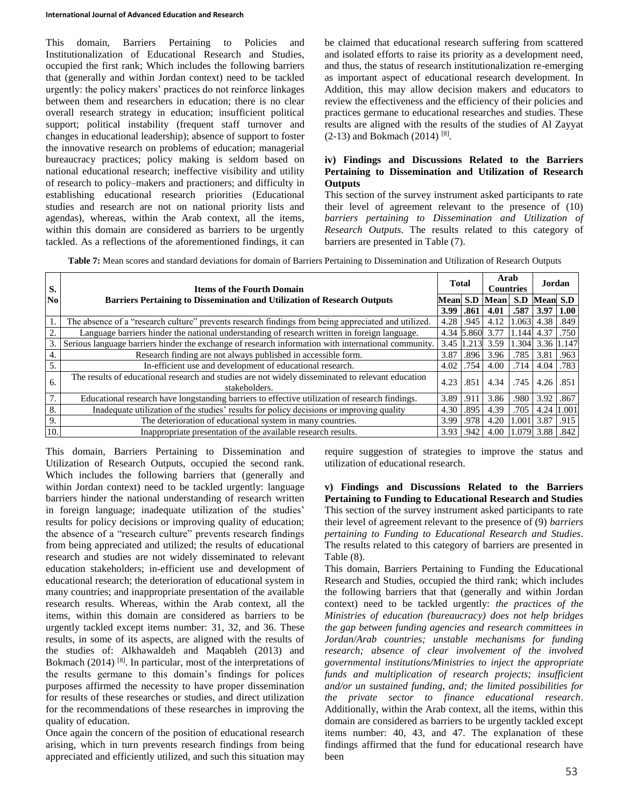This domain, Barriers Pertaining to Policies and Institutionalization of Educational Research and Studies, occupied the first rank; Which includes the following barriers that (generally and within Jordan context) need to be tackled urgently: the policy makers' practices do not reinforce linkages between them and researchers in education; there is no clear overall research strategy in education; insufficient political support; political instability (frequent staff turnover and changes in educational leadership); absence of support to foster the innovative research on problems of education; managerial bureaucracy practices; policy making is seldom based on national educational research; ineffective visibility and utility of research to policy–makers and practioners; and difficulty in establishing educational research priorities (Educational studies and research are not on national priority lists and agendas), whereas, within the Arab context, all the items, within this domain are considered as barriers to be urgently tackled. As a reflections of the aforementioned findings, it can

be claimed that educational research suffering from scattered and isolated efforts to raise its priority as a development need, and thus, the status of research institutionalization re-emerging as important aspect of educational research development. In Addition, this may allow decision makers and educators to review the effectiveness and the efficiency of their policies and practices germane to educational researches and studies. These results are aligned with the results of the studies of Al Zayyat  $(2-13)$  and Bokmach  $(2014)$ <sup>[8]</sup>.

# **iv) Findings and Discussions Related to the Barriers Pertaining to Dissemination and Utilization of Research Outputs**

This section of the survey instrument asked participants to rate their level of agreement relevant to the presence of (10) *barriers pertaining to Dissemination and Utilization of Research Outputs*. The results related to this category of barriers are presented in Table (7).

**Table 7:** Mean scores and standard deviations for domain of Barriers Pertaining to Dissemination and Utilization of Research Outputs

| S.  | <b>Items of the Fourth Domain</b>                                                                                  | <b>Total</b> |       | Arab<br><b>Countries</b> |       | Jordan          |       |
|-----|--------------------------------------------------------------------------------------------------------------------|--------------|-------|--------------------------|-------|-----------------|-------|
| No  | <b>Barriers Pertaining to Dissemination and Utilization of Research Outputs</b>                                    | Mean         | S.D   | Mean                     | S.D   | <b>Mean S.D</b> |       |
|     |                                                                                                                    | 3.99         | .861  | 4.01                     | .587  | 3.97            | 1.00  |
|     | The absence of a "research culture" prevents research findings from being appreciated and utilized.                | 4.28         | .945  | 4.12                     | .063  | 4.38            | .849  |
|     | Language barriers hinder the national understanding of research written in foreign language.                       | 4.34         | 5.860 | 3.77                     | .144  | 4.37            | .750  |
| 3.  | Serious language barriers hinder the exchange of research information with international community.                | 3.45         | 1.213 | 3.59                     | 1.304 | 3.36            | 1.147 |
| 4.  | Research finding are not always published in accessible form.                                                      | 3.87         | .896  | 3.96                     | .785  | 3.81            | .963  |
| 5.  | In-efficient use and development of educational research.                                                          | 4.02         | .754  | 4.00                     | .714  | 4.04            | .783  |
| 6.  | The results of educational research and studies are not widely disseminated to relevant education<br>stakeholders. | 4.23         | .851  | 4.34                     | .745  | 4.26            | .851  |
| 7.  | Educational research have longstanding barriers to effective utilization of research findings.                     | 3.89         | .911  | 3.86                     | .980  | 3.92            | .867  |
| 8.  | Inadequate utilization of the studies' results for policy decisions or improving quality                           | 4.30         | .895  | 4.39                     | .705  | 4.24            | .001  |
| 9.  | The deterioration of educational system in many countries.                                                         | 3.99         | .978  | 4.20                     | 1.001 | 3.87            | .915  |
| 10. | Inappropriate presentation of the available research results.                                                      | 3.93         | .942  | 4.00                     | .079  | 3.88            | .842  |

This domain, Barriers Pertaining to Dissemination and Utilization of Research Outputs, occupied the second rank. Which includes the following barriers that (generally and within Jordan context) need to be tackled urgently: language barriers hinder the national understanding of research written in foreign language; inadequate utilization of the studies' results for policy decisions or improving quality of education; the absence of a "research culture" prevents research findings from being appreciated and utilized; the results of educational research and studies are not widely disseminated to relevant education stakeholders; in-efficient use and development of educational research; the deterioration of educational system in many countries; and inappropriate presentation of the available research results. Whereas, within the Arab context, all the items, within this domain are considered as barriers to be urgently tackled except items number: 31, 32, and 36. These results, in some of its aspects, are aligned with the results of the studies of: Alkhawaldeh and Maqableh (2013) and Bokmach  $(2014)$ <sup>[8]</sup>. In particular, most of the interpretations of the results germane to this domain's findings for polices purposes affirmed the necessity to have proper dissemination for results of these researches or studies, and direct utilization for the recommendations of these researches in improving the quality of education.

Once again the concern of the position of educational research arising, which in turn prevents research findings from being appreciated and efficiently utilized, and such this situation may require suggestion of strategies to improve the status and utilization of educational research.

**v) Findings and Discussions Related to the Barriers Pertaining to Funding to Educational Research and Studies** This section of the survey instrument asked participants to rate their level of agreement relevant to the presence of (9) *barriers pertaining to Funding to Educational Research and Studies*. The results related to this category of barriers are presented in Table (8).

This domain, Barriers Pertaining to Funding the Educational Research and Studies, occupied the third rank; which includes the following barriers that that (generally and within Jordan context) need to be tackled urgently: *the practices of the Ministries of education (bureaucracy) does not help bridges the gap between funding agencies and research committees in Jordan/Arab countries; unstable mechanisms for funding research; absence of clear involvement of the involved governmental institutions/Ministries to inject the appropriate funds and multiplication of research projects; insufficient and/or un sustained funding, and; the limited possibilities for the private sector to finance educational research*. Additionally, within the Arab context, all the items, within this domain are considered as barriers to be urgently tackled except items number: 40, 43, and 47. The explanation of these findings affirmed that the fund for educational research have been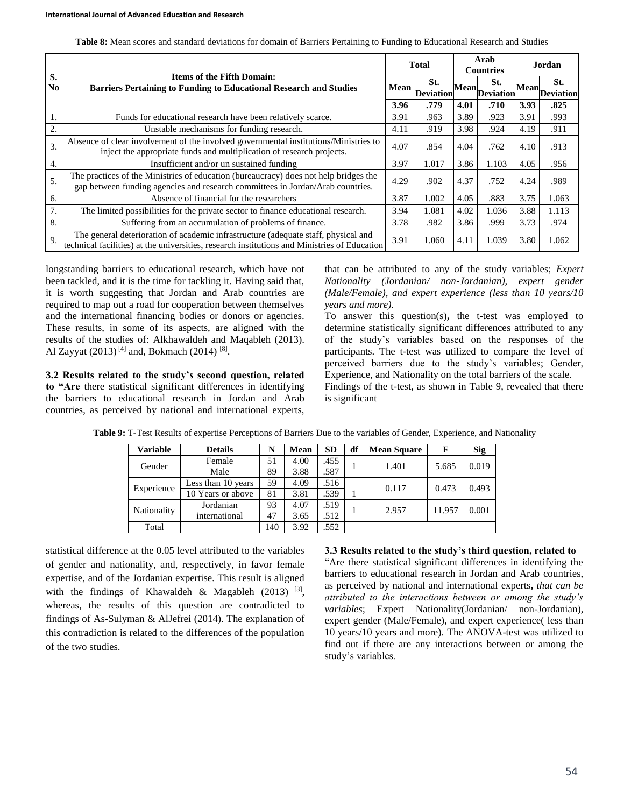| Table 8: Mean scores and standard deviations for domain of Barriers Pertaining to Funding to Educational Research and Studies |
|-------------------------------------------------------------------------------------------------------------------------------|
|-------------------------------------------------------------------------------------------------------------------------------|

|          |                                                                                                                                                                                    |      | <b>Total</b>            | Arab<br><b>Countries</b> |                        | Jordan |                      |
|----------|------------------------------------------------------------------------------------------------------------------------------------------------------------------------------------|------|-------------------------|--------------------------|------------------------|--------|----------------------|
| S.<br>No | <b>Items of the Fifth Domain:</b><br><b>Barriers Pertaining to Funding to Educational Research and Studies</b>                                                                     | Mean | St.<br><b>Deviation</b> |                          | St.<br>mMeanDeviation" |        | St.<br>MeanDeviation |
|          |                                                                                                                                                                                    | 3.96 | .779                    | 4.01                     | .710                   | 3.93   | .825                 |
| 1.       | Funds for educational research have been relatively scarce.                                                                                                                        | 3.91 | .963                    | 3.89                     | .923                   | 3.91   | .993                 |
| 2.       | Unstable mechanisms for funding research.                                                                                                                                          | 4.11 | .919                    | 3.98                     | .924                   | 4.19   | .911                 |
| 3.       | Absence of clear involvement of the involved governmental institutions/Ministries to<br>inject the appropriate funds and multiplication of research projects.                      |      | .854                    | 4.04                     | .762                   | 4.10   | .913                 |
| 4.       | Insufficient and/or un sustained funding                                                                                                                                           | 3.97 | 1.017                   | 3.86                     | 1.103                  | 4.05   | .956                 |
| 5.       | The practices of the Ministries of education (bureaucracy) does not help bridges the<br>gap between funding agencies and research committees in Jordan/Arab countries.             | 4.29 | .902                    | 4.37                     | .752                   | 4.24   | .989                 |
| 6.       | Absence of financial for the researchers                                                                                                                                           | 3.87 | 1.002                   | 4.05                     | .883                   | 3.75   | 1.063                |
| 7.       | The limited possibilities for the private sector to finance educational research.                                                                                                  | 3.94 | 1.081                   | 4.02                     | 1.036                  | 3.88   | 1.113                |
| 8.       | Suffering from an accumulation of problems of finance.                                                                                                                             | 3.78 | .982                    | 3.86                     | .999                   | 3.73   | .974                 |
| 9.       | The general deterioration of academic infrastructure (adequate staff, physical and<br>technical facilities) at the universities, research institutions and Ministries of Education | 3.91 | 1.060                   | 4.11                     | 1.039                  | 3.80   | 1.062                |

longstanding barriers to educational research, which have not been tackled, and it is the time for tackling it. Having said that, it is worth suggesting that Jordan and Arab countries are required to map out a road for cooperation between themselves and the international financing bodies or donors or agencies. These results, in some of its aspects, are aligned with the results of the studies of: Alkhawaldeh and Maqableh (2013). Al Zayyat  $(2013)$ <sup>[4]</sup> and, Bokmach  $(2014)$ <sup>[8]</sup>.

**3.2 Results related to the study's second question, related to "Are** there statistical significant differences in identifying the barriers to educational research in Jordan and Arab countries, as perceived by national and international experts, that can be attributed to any of the study variables; *Expert Nationality (Jordanian/ non-Jordanian), expert gender (Male/Female), and expert experience (less than 10 years/10 years and more).*

To answer this question(s)**,** the t-test was employed to determine statistically significant differences attributed to any of the study's variables based on the responses of the participants. The t-test was utilized to compare the level of perceived barriers due to the study's variables; Gender, Experience, and Nationality on the total barriers of the scale. Findings of the t-test, as shown in Table 9, revealed that there is significant

| <b>Variable</b> | <b>Details</b>     | N   | Mean | <b>SD</b> | df | <b>Mean Square</b> | F      | <b>Sig</b> |
|-----------------|--------------------|-----|------|-----------|----|--------------------|--------|------------|
| Gender          | Female             | 51  | 4.00 | .455      |    | 1.401              | 5.685  | 0.019      |
|                 | Male               | 89  | 3.88 | .587      |    |                    |        |            |
| Experience      | Less than 10 years | 59  | 4.09 | .516      |    | 0.117              | 0.473  | 0.493      |
|                 | 10 Years or above  | 81  | 3.81 | .539      |    |                    |        |            |
| Nationality     | Jordanian          | 93  | 4.07 | .519      |    | 2.957              | 11.957 | 0.001      |
|                 | international      | 47  | 3.65 | 512       |    |                    |        |            |
| Total           |                    | 140 | 3.92 | 552       |    |                    |        |            |

**Table 9:** T-Test Results of expertise Perceptions of Barriers Due to the variables of Gender, Experience, and Nationality

statistical difference at the 0.05 level attributed to the variables of gender and nationality, and, respectively, in favor female expertise, and of the Jordanian expertise. This result is aligned with the findings of Khawaldeh & Magableh  $(2013)$ <sup>[3]</sup>, whereas, the results of this question are contradicted to findings of As-Sulyman & AlJefrei (2014). The explanation of this contradiction is related to the differences of the population of the two studies.

**3.3 Results related to the study's third question, related to** "Are there statistical significant differences in identifying the barriers to educational research in Jordan and Arab countries, as perceived by national and international experts**,** *that can be attributed to the interactions between or among the study's variables*; Expert Nationality(Jordanian/ non-Jordanian), expert gender (Male/Female), and expert experience( less than 10 years/10 years and more). The ANOVA-test was utilized to find out if there are any interactions between or among the study's variables.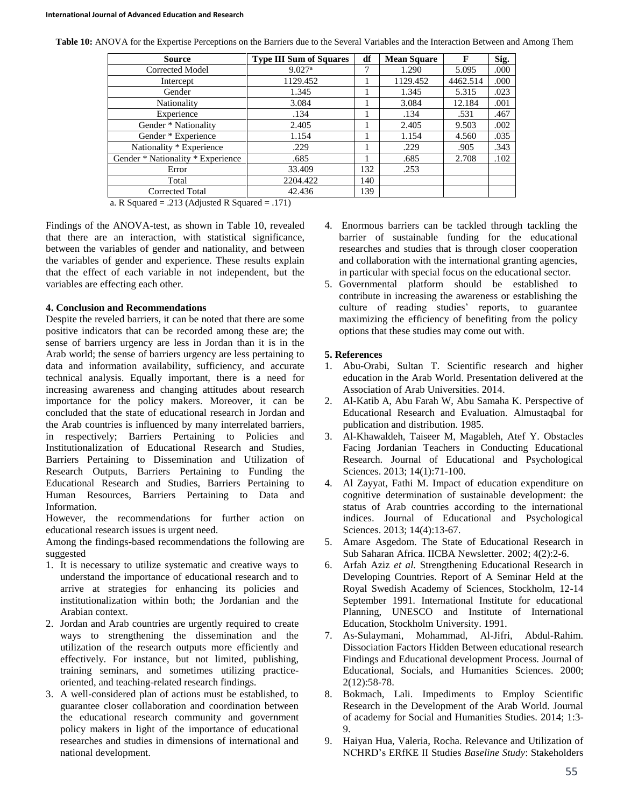| Table 10: ANOVA for the Expertise Perceptions on the Barriers due to the Several Variables and the Interaction Between and Among Them |  |  |
|---------------------------------------------------------------------------------------------------------------------------------------|--|--|
|                                                                                                                                       |  |  |

| Source                            | <b>Type III Sum of Squares</b> | df  | <b>Mean Square</b> | F        | Sig. |
|-----------------------------------|--------------------------------|-----|--------------------|----------|------|
| Corrected Model                   | 9.027 <sup>a</sup>             | 7   | 1.290              | 5.095    | .000 |
| Intercept                         | 1129.452                       |     | 1129.452           | 4462.514 | .000 |
| Gender                            | 1.345                          |     | 1.345              | 5.315    | .023 |
| Nationality                       | 3.084                          |     | 3.084              | 12.184   | .001 |
| Experience                        | .134                           |     | .134               | .531     | .467 |
| Gender * Nationality              | 2.405                          |     | 2.405              | 9.503    | .002 |
| Gender * Experience               | 1.154                          |     | 1.154              | 4.560    | .035 |
| Nationality * Experience          | .229                           |     | .229               | .905     | .343 |
| Gender * Nationality * Experience | .685                           |     | .685               | 2.708    | .102 |
| Error                             | 33.409                         | 132 | .253               |          |      |
| Total                             | 2204.422                       | 140 |                    |          |      |
| <b>Corrected Total</b>            | 42.436                         | 139 |                    |          |      |

a. R Squared = .213 (Adjusted R Squared = .171)

Findings of the ANOVA-test, as shown in Table 10, revealed that there are an interaction, with statistical significance, between the variables of gender and nationality, and between the variables of gender and experience. These results explain that the effect of each variable in not independent, but the variables are effecting each other.

## **4. Conclusion and Recommendations**

Despite the reveled barriers, it can be noted that there are some positive indicators that can be recorded among these are; the sense of barriers urgency are less in Jordan than it is in the Arab world; the sense of barriers urgency are less pertaining to data and information availability, sufficiency, and accurate technical analysis. Equally important, there is a need for increasing awareness and changing attitudes about research importance for the policy makers. Moreover, it can be concluded that the state of educational research in Jordan and the Arab countries is influenced by many interrelated barriers, in respectively; Barriers Pertaining to Policies and Institutionalization of Educational Research and Studies, Barriers Pertaining to Dissemination and Utilization of Research Outputs, Barriers Pertaining to Funding the Educational Research and Studies, Barriers Pertaining to Human Resources, Barriers Pertaining to Data and Information.

However, the recommendations for further action on educational research issues is urgent need.

Among the findings-based recommendations the following are suggested

- 1. It is necessary to utilize systematic and creative ways to understand the importance of educational research and to arrive at strategies for enhancing its policies and institutionalization within both; the Jordanian and the Arabian context.
- 2. Jordan and Arab countries are urgently required to create ways to strengthening the dissemination and the utilization of the research outputs more efficiently and effectively. For instance, but not limited, publishing, training seminars, and sometimes utilizing practiceoriented, and teaching-related research findings.
- 3. A well-considered plan of actions must be established, to guarantee closer collaboration and coordination between the educational research community and government policy makers in light of the importance of educational researches and studies in dimensions of international and national development.
- 4. Enormous barriers can be tackled through tackling the barrier of sustainable funding for the educational researches and studies that is through closer cooperation and collaboration with the international granting agencies, in particular with special focus on the educational sector.
- 5. Governmental platform should be established to contribute in increasing the awareness or establishing the culture of reading studies' reports, to guarantee maximizing the efficiency of benefiting from the policy options that these studies may come out with.

# **5. References**

- 1. Abu-Orabi, Sultan T. Scientific research and higher education in the Arab World. Presentation delivered at the Association of Arab Universities. 2014.
- 2. Al-Katib A, Abu Farah W, Abu Samaha K. Perspective of Educational Research and Evaluation. Almustaqbal for publication and distribution. 1985.
- 3. Al-Khawaldeh, Taiseer M, Magableh, Atef Y. Obstacles Facing Jordanian Teachers in Conducting Educational Research. Journal of Educational and Psychological Sciences. 2013; 14(1):71-100.
- 4. Al Zayyat, Fathi M. Impact of education expenditure on cognitive determination of sustainable development: the status of Arab countries according to the international indices. Journal of Educational and Psychological Sciences. 2013; 14(4):13-67.
- 5. Amare Asgedom. The State of Educational Research in Sub Saharan Africa. IICBA Newsletter. 2002; 4(2):2-6.
- 6. Arfah Aziz *et al.* Strengthening Educational Research in Developing Countries. Report of A Seminar Held at the Royal Swedish Academy of Sciences, Stockholm, 12-14 September 1991. International Institute for educational Planning, UNESCO and Institute of International Education, Stockholm University. 1991.
- 7. As-Sulaymani, Mohammad, Al-Jifri, Abdul-Rahim. Dissociation Factors Hidden Between educational research Findings and Educational development Process. Journal of Educational, Socials, and Humanities Sciences. 2000; 2(12):58-78.
- 8. Bokmach, Lali. Impediments to Employ Scientific Research in the Development of the Arab World. Journal of academy for Social and Humanities Studies. 2014; 1:3- 9.
- 9. Haiyan Hua, Valeria, Rocha. Relevance and Utilization of NCHRD's ERfKE II Studies *Baseline Study*: Stakeholders